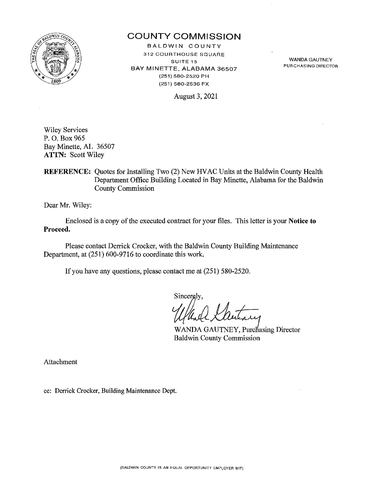

# **COUNTY COMMISSION**

BALDWIN COUNTY **312 COURTHOUSE SQUARE SUITE15**  BAY MINETTE, ALABAMA 36507 (251) 580-2520 PH (251) 580-2536 FX

August 3, 2021

WANDA GAUTNEY **PURCHASING DIRECTOR** 

Wiley Services P. 0. Box965 Bay Minette, AL 36507 **ATTN:** Scott Wiley

**REFERENCE:** Quotes for Installing Two (2) New HVAC Units at the Baldwin County Health Department Office Building Located in Bay Minette, Alabama for the Baldwin County Commission

Dear Mr. Wiley:

Enclosed is a copy of the executed contract for your files. This letter is your **Notice to Proceed.** 

Please contact Derrick Crocker, with the Baldwin County Building Maintenance Department, at (251) 600-9716 to coordinate this work.

If you have any questions, please contact me at (251) 580-2520.

Sincergly,

Baldwin County Commission WANDA GAUTNEY, Purchasing Director

Attachment

cc: Derrick Crocker, Building Maintenance Dept.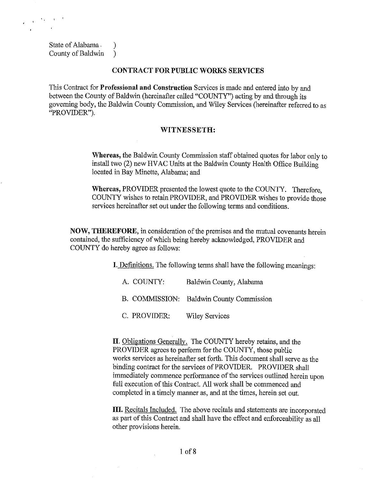State of Alabama  $\qquad$ ) County of Baldwin )

#### CONTRACT FOR PUBLIC WORKS SERVICES

This Contract for Professional and Construction Services is made and entered into by and between the County of Baldwin (hereinafter called "COUNTY") acting by and through its governing body, the Baldwin County Commission, and Wiley Services (hereinafter referred to as "PROVIDER").

### WITNESSETH:

Whereas, the Baldwin County Commission staff obtained quotes for labor only to install two (2) new HV AC Units at the Baldwin County Health Office Building located in Bay Minette, Alabama; and

Whereas, PROVIDER presented the lowest quote to the COUNTY. Therefore, COUNTY wishes to retain PROVIDER, and PROVIDER wishes to provide those services hereinafter set out under the following terms and conditions.

NOW, THEREFORE, in consideration of the premises and the mutual covenants herein contained, the sufficiency of which being hereby acknowledged, PROVIDER and COUNTY do hereby agree as follows:

I. Definitions. The following terms shall have the following meanings:

- A. COUNTY: Baldwin County, Alabama
- B. COMMISSION: Baldwin County Commission
- C. PROVIDER: Wiley Services

II. Obligations Generally. The COUNTY hereby retains, and the PROVIDER agrees to perform for the COUNTY, those public works services as hereinafter set forth. This document shall serve as the binding contract for the services of PROVIDER. PROVIDER shall immediately commence performance of the services outlined herein upon full execution of this Contract. All work shall be commenced and completed in a timely manner as, and at the times, herein set out.

III. Recitals Included. The above recitals and statements are incorporated as part of this Contract and shall have the effect and enforceability as all other provisions herein.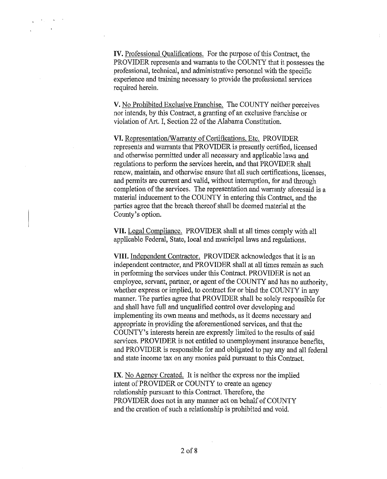IV. Professional Qualifications. For the purpose of this Contract, the PROVIDER represents and warrants to the COUNTY that it possesses the professional, technical, and administrative personnel with the specific experience and training necessary to provide the professional services required herein.

V. No Prohibited Exclusive Franchise. The COUNTY neither perceives nor intends, by this Contract, a granting of an exclusive franchise or violation of Art. I, Section 22 of the Alabama Constitution.

VI. Representation/Warranty of Certifications, Etc. PROVIDER represents and warrants that PROVIDER is presently certified, licensed and otherwise permitted under all necessary and applicable laws and regulations to perform the services herein, and that PROVIDER shall renew, maintain, and otherwise ensure that all such certifications, licenses, and permits are current and valid, without interruption, for and through completion of the services. The representation and warranty aforesaid is a material inducement to the COUNTY in entering this Contract, and the parties agree that the breach thereof shall be deemed material at the County's option.

VII. Legal Compliance. PROVIDER shall at all times comply with all applicable Federal, State, local and municipal laws and regulations.

VIII. Independent Contractor. PROVIDER acknowledges that it is an independent contractor, and PROVIDER shall at all times remain as such in performing the services under this Contract. PROVIDER is not an employee, servant, partner, or agent of the COUNTY and has no authority, whether express or implied, to contract for or bind the COUNTY in any manner. The parties agree that PROVIDER shall be solely responsible for and shall have full and unqualified control over developing and implementing its own means and methods, as it deems necessary and appropriate in providing the aforementioned services, and that the COUNTY's interests herein are expressly limited to the results of said services. PROVIDER is not entitled to unemployment insurance benefits, and PROVIDER is responsible for and obligated to pay any and all federal and state income tax on any monies paid pursuant to this Contract.

IX. No Agency Created. It is neither the express nor the implied intent of PROVIDER or COUNTY to create an agency relationship pursuant to this Contract. Therefore, the PROVIDER does not in any manner act on behalf of COUNTY and the creation of such a relationship is prohibited and void.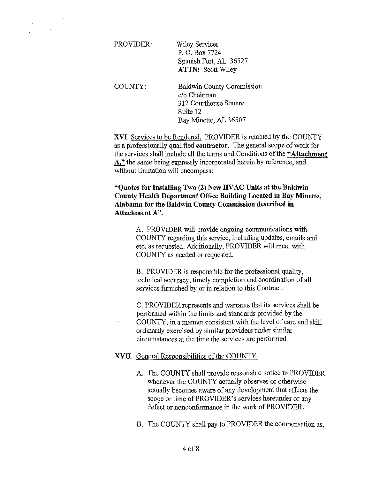$\frac{1}{2} \left( \frac{1}{2} \sum_{i=1}^{n} \frac{1}{2} \right)$ 

PROVIDER:

Wiley Services P. 0. Box 7724 Spanish Fort, AL 36527 ATTN: Scott Wiley

COUNTY:

 $\mathcal{L}_{\mathcal{A}}$ 

Baldwin County Commission c/o Chairman 312 Courthouse Square Suite 12 Bay Minette, AL 36507

XVI. Services to be Rendered. PROVIDER is retained by the COUNTY as a professionally qualified contractor. The general scope of work for the services shall include all the terms and Conditions of the "Attachment A," the same being expressly incorporated herein by reference, and without limitation will encompass:

"Quotes for Installing Two (2) New HV AC Units at the Baldwin County Health Department Office Building Located in Bay Minette, Alabama for the Baldwin County Commission described in Attachment A".

> A. PROVIDER will provide ongoing communications with COUNTY regarding this service, including updates, emails and etc. as requested. Additionally, PROVIDER will meet with COUNTY as needed or requested.

B. PROVIDER is responsible for the professional quality, technical accuracy, timely completion and coordination of all services furnished by or in relation to this Contract.

C. PROVIDER represents and warrants that its services shall be perfonned within the limits and standards provided by the COUNTY, in a manner consistent with the level of care and skill ordinarily exercised by similar providers under similar circumstances at the time the services are performed.

# XVII. General Responsibilities of the COUNTY.

- A. The COUNTY shall provide reasonable notice to PROVIDER whenever the COUNTY actually observes or otherwise actually becomes aware of any development that affects the scope or time of PROVIDER's services hereunder or any defect or nonconformance in the work of PROVIDER.
- B. The COUNTY shall pay to PROVIDER the compensation as,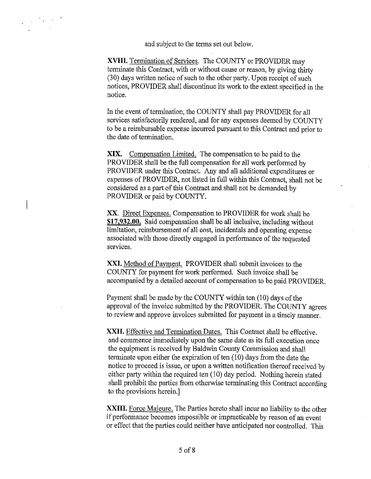and subject to the terms set out below.

**XVIII.** Termination of Services. The COUNTY or PROVIDER may terminate this Contract, with or without cause or reason, by giving thirty (30) days written notice of such to the other party. Upon receipt of such notices, PROVIDER shall discontinue its work to the extent specified in the notice.

In the event of termination, the COUNTY shall pay PROVIDER for all services satisfactorily rendered, and for any expenses deemed by COUNTY to be a reimbursable expense incurred pursuant to this Contract and prior to the date of termination.

**XIX.** Compensation Limited. The compensation to be paid to the PROVIDER shall be the full compensation for all work performed by PROVIDER under this Contract. Any and all additional expenditures or expenses of PROVIDER, not listed in full within this Contract, shall not be considered as a part of this Contract and shall not be demanded by PROVIDER or paid by COUNTY.

XX. Direct Expenses. Compensation to PROVIDER for work shall be **\$17,932.00.** Said compensation shall be all inclusive, including without limitation, reimbursement of all cost, incidentals and operating expense associated with those directly engaged in performance of the requested services.

XXI. Method of Payment. PROVIDER shall submit invoices to the COUNTY for payment for work performed. Such invoice shall be accompanied by a detailed account of compensation to be paid PROVIDER.

Payment shall be made by the COUNTY within ten (10) days of the approval of the invoice submitted by the PROVIDER. The COUNTY agrees to review and approve invoices submitted for payment in a timely manner.

**XXII.** Effective and Termination Dates. This Contract shall be effective. and commence immediately upon the same date as its full execution once the equipment is received by Baldwin County Commission and shall terminate upon either the expiration of ten  $(10)$  days from the date the notice to proceed is issue, or upon a written notification thereof received by either party within the required ten (10) day period. Nothing herein stated shall prohibit the parties from otherwise terminating this Contract according to the provisions herein.]

**XXIII.** Force Majeure. The Parties hereto shall incur no liability to the other if perfonnance becomes impossible or impracticable by reason of an event or effect that the parties could neither have anticipated nor controlled. This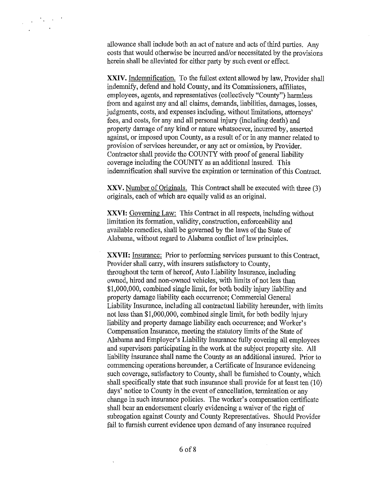$\frac{1}{2} \left( \frac{1}{2} \right) \frac{1}{2} \left( \frac{1}{2} \right) \left( \frac{1}{2} \right)$ 

allowance shall include both an act of nature and acts of third parties. Any costs that would otherwise be incurred and/or necessitated by the provisions herein shall be alleviated for either party by such event or effect.

XXIV. Indemnification. To the fullest extent allowed by law, Provider shall indemnify, defend and hold County, and its Commissioners, affiliates, employees, agents, and representatives (collectively "County") harmless from and against any and all claims, demands, liabilities, damages, losses, judgments, costs, and expenses including, without limitations, attorneys' fees, and costs, for any and all personal injury (including death) and property damage of any kind or nature whatsoever, incurred by, asserted against, or imposed upon County, as a result of or in any manner related to provision of services hereunder, or any act or omission, by Provider. Contractor shall provide the COUNTY with proof of general liability coverage including the COUNTY as an additional insured. This indemnification shall survive the expiration or termination of this Contract.

XXV. Number of Originals. This Contract shall be executed with three (3) originals, each of which are equally valid as an original.

**XXVI:** Governing Law: This Contract in all respects, including without limitation its formation, validity, construction, enforceability and available remedies, shall be governed by the laws of the State of Alabama, without regard to Alabama conflict of law principles.

**XXVII:** Insurance: Prior to performing services pursuant to this Contract, Provider shall carry, with insurers satisfactory to County, throughout the term of hereof, Auto Liability Insurance, including owned, hired and non-owned vehicles, with limits of not less than \$1,000,000, combined single limit, for both bodily injury liability and property damage liability each occurrence; Commercial General Liability Insurance, including all contractual liability hereunder, with limits not less than \$1,000,000, combined single limit, for both bodily injury liability and property damage liability each occurrence; and Worker's Compensation Insurance, meeting the statutory limits of the State of Alabama and Employer's Liability Insurance fully covering all employees and supervisors participating in the work at the subject property site. All liability insurance shall name the County as an additional insured. Prior to commencing operations hereunder, a Certificate of Insurance evidencing such coverage, satisfactory to County, shall be furnished to County, which shall specifically state that such insurance shall provide for at least ten (10) days' notice to County in the event of cancellation, termination or any change in such insurance policies. The worker's compensation certificate shall bear an endorsement clearly evidencing a waiver of the right of subrogation against County and County Representatives. Should Provider fail to furnish current evidence upon demand of any insurance required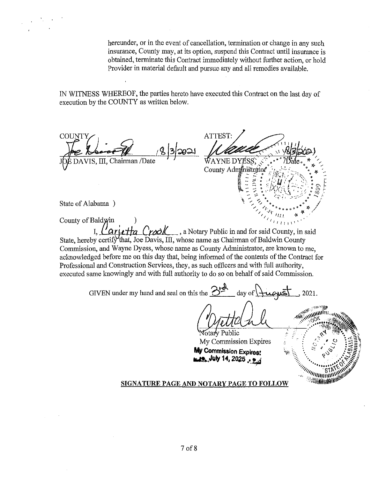hereunder, or in the event of cancellation, termination or change in any such insurance, County may, at its option, suspend this Contract until insurance is obtained, terminate this Contract immediately without further action, or hold Provider in material default and pursue any and all remedies available.

IN WITNESS WHEREOF, the parties hereto have executed this Contract on the last day of execution by the COUNTY as written below.

**COUNTY** VIS, III, Chairman /Date

ATTEST: WAYNE DYESS. County Administrator

State of Alabama )

County of Baldwin

*Cartetta Crool*, a Notary Public in and for said County, in said State, hereby certify that, Joe Davis, III, whose name as Chairman of Baldwin County Commission, and Wayne Dyess, whose name as County Administrator, are known to me, aclmowledged before me on this day that, being informed of the contents of the Contract for Professional and Construction Services, they, as such officers and with full authority, executed same knowingly and with full authority to do so on behalf of said Commission.

GIVEN under my hand and seal on this the  $\frac{S^{rA}}{2}$  day of  $\mu_{\text{wB}}$ , 2021.

**Votary Public** My Commission Expires

**Mv Commission Expires: ai.A..July 14, 202s** .~~

# **SIGNATURE PAGE AND NOTARY PAGE TO FOLLOW**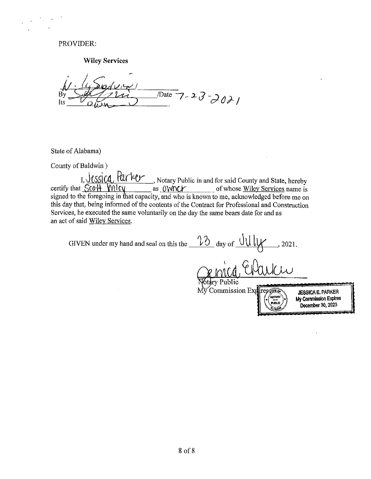### PROVIDER:

**Wiley Services** 

 $\frac{1}{2}$  Date 7-23-2021 Its

State of Alabama)

County of Baldwin )

I, <u>Jessica</u>, *Rurker*, Notary Public in and for said County and State, hereby certify that  $\frac{5c0H}{Wlcy}$  as  $\frac{OWV}{Wl}$  as  $\frac{OWV}{Wl}$  of whose <u>Wiley Services</u> name is as OWINCY of whose Wiley Services name is signed to the foregoing in that capacity, and who is known to me, acknowledged before me on this day that, being informed of the contents of the Contract for Professional and Construction Services, he executed the same voluntarily on the day the same bears date for and as an act of said Wiley Services.

GIVEN under my hand and seal on this the  $\frac{12}{10}$  day of  $\frac{0 \text{U} \mu}{\text{V}}$ , 2021.  $\frac{1}{k}$ Public My Commission Exp iresv## **JESSICA E.** PARKER r'ioman' **My Commission** Expires **FUNLIO December** 30, 2023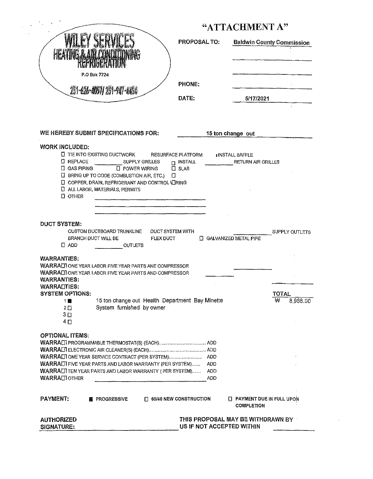|                                                                                                                                                                                                                                                                                                                                                                               |                                                                                                                                        |                                             | "ATTACHMENT A"                                             |                                        |                                                    |                               |
|-------------------------------------------------------------------------------------------------------------------------------------------------------------------------------------------------------------------------------------------------------------------------------------------------------------------------------------------------------------------------------|----------------------------------------------------------------------------------------------------------------------------------------|---------------------------------------------|------------------------------------------------------------|----------------------------------------|----------------------------------------------------|-------------------------------|
|                                                                                                                                                                                                                                                                                                                                                                               |                                                                                                                                        |                                             | <b>PROPOSAL TO:</b>                                        |                                        | <b>Baldwin County Commission</b>                   |                               |
|                                                                                                                                                                                                                                                                                                                                                                               |                                                                                                                                        |                                             |                                                            |                                        |                                                    |                               |
|                                                                                                                                                                                                                                                                                                                                                                               |                                                                                                                                        |                                             |                                                            |                                        |                                                    |                               |
|                                                                                                                                                                                                                                                                                                                                                                               | P.O Box 7724                                                                                                                           |                                             |                                                            |                                        |                                                    |                               |
| 251-620-0057 251-907-0204                                                                                                                                                                                                                                                                                                                                                     |                                                                                                                                        |                                             | <b>PHONE:</b>                                              |                                        |                                                    |                               |
|                                                                                                                                                                                                                                                                                                                                                                               |                                                                                                                                        |                                             | DATE:                                                      |                                        | 5/17/2021                                          |                               |
|                                                                                                                                                                                                                                                                                                                                                                               |                                                                                                                                        |                                             |                                                            |                                        |                                                    |                               |
| WE HEREBY SUBMIT SPECIFICATIONS FOR:                                                                                                                                                                                                                                                                                                                                          |                                                                                                                                        |                                             |                                                            | 15 ton change out                      |                                                    |                               |
|                                                                                                                                                                                                                                                                                                                                                                               |                                                                                                                                        |                                             |                                                            |                                        |                                                    |                               |
| <b>WORK INCLUDED:</b><br><b>LI REPLACE</b><br>$\Box$ GAS PIPING                                                                                                                                                                                                                                                                                                               | $\square$ TIE INTO EXISTING DUCTWORK<br><b>SUPPLY GRILLES</b><br>$\Box$ POWER WIRING<br>$\Box$ BRING UP TO CODE (COMBUSTION AIR, ETC.) | Ð                                           | <b>RESURFACE PLATFORM</b><br>$\Box$ INSTALL<br>$\Box$ SLAB |                                        | <b>INSTALL BAFFLE</b><br><b>RETURN AIR GRILLES</b> |                               |
| $\square$ OTHER                                                                                                                                                                                                                                                                                                                                                               | <b>E COPPER, DRAIN, REFRIGERANT AND CONTROL VERING</b><br><b>C ALL LABOR, MATERIALS, PERMITS</b>                                       |                                             |                                                            |                                        |                                                    |                               |
| $\Box$ ADD                                                                                                                                                                                                                                                                                                                                                                    | CUSTOM DUCTBOARD TRUNKLINE<br><b>BRANCH DUCT WILL BE</b><br><b>OUTLETS</b>                                                             | <b>DUCT SYSTEM WITH</b><br><b>FLEX DUCT</b> |                                                            |                                        | <b>T</b> GALVANIZED METAL PIPE                     | SUPPLY OUTLETS                |
| <b>WARRANTIES:</b>                                                                                                                                                                                                                                                                                                                                                            |                                                                                                                                        |                                             |                                                            |                                        |                                                    |                               |
|                                                                                                                                                                                                                                                                                                                                                                               |                                                                                                                                        |                                             |                                                            |                                        |                                                    |                               |
| 1 團<br>$2\square$<br>3 ⊡<br>4 <sub>0</sub>                                                                                                                                                                                                                                                                                                                                    | 15 ton change out Health Department Bay Minette<br>System furnished by owner                                                           |                                             |                                                            |                                        |                                                    | <b>TOTAL</b><br>₩<br>8,966.00 |
|                                                                                                                                                                                                                                                                                                                                                                               |                                                                                                                                        |                                             |                                                            |                                        |                                                    |                               |
|                                                                                                                                                                                                                                                                                                                                                                               |                                                                                                                                        |                                             |                                                            |                                        |                                                    |                               |
| <b>WARRALIONE YEAR LABOR FIVE YEAR PARTS ANE COMPRESSOR</b><br>WARRALLTONE YEAR LABOR FIVE YEAR PARTS AND COMPRESSOR<br><b>WARRANTIES:</b><br><b>WARRADTIES:</b><br><b>SYSTEM OPTIONS:</b><br><b>OPTIONAL ITEMS:</b><br><b>WARRALI FIVE YEAR PARTS AND LABOR WARRANTY (PER SYSTEM)</b><br><b>WARRALITEN YEAR PARTS AND LABOR WARRANTY (PER SYSTEM)</b><br><b>WARRALIOTHER</b> |                                                                                                                                        |                                             |                                                            | <b>ADD</b><br><b>ADD</b><br><b>ADD</b> |                                                    |                               |
| <b>PAYMENT:</b>                                                                                                                                                                                                                                                                                                                                                               | <b>簡 PROGRESSIVE</b>                                                                                                                   | $\Box$ 60/40 NEW CONSTRUCTION               |                                                            |                                        | T PAYMENT DUE IN FULL UPON<br><b>COMPLETION</b>    |                               |